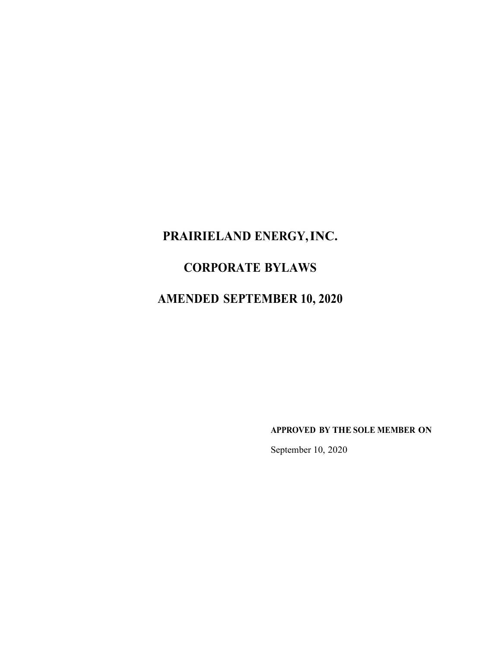# **PRAIRIELAND ENERGY,INC.**

# **CORPORATE BYLAWS**

# **AMENDED SEPTEMBER 10, 2020**

**APPROVED BY THE SOLE MEMBER ON**

September 10, 2020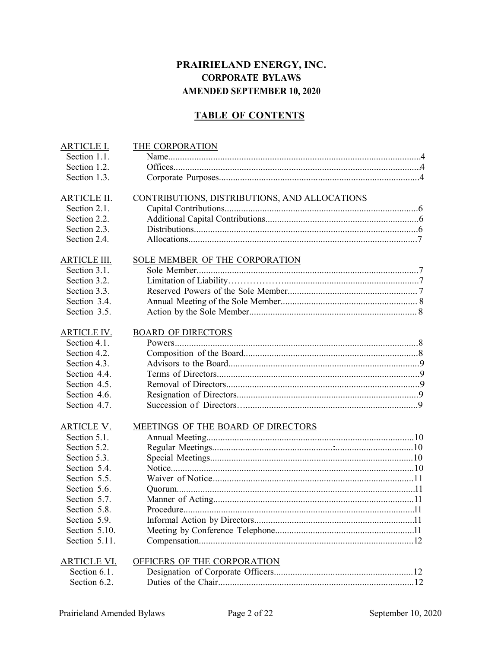# **PRAIRIELAND ENERGY, INC. CORPORATE BYLAWS AMENDED SEPTEMBER 10, 2020**

# **TABLE OF CONTENTS**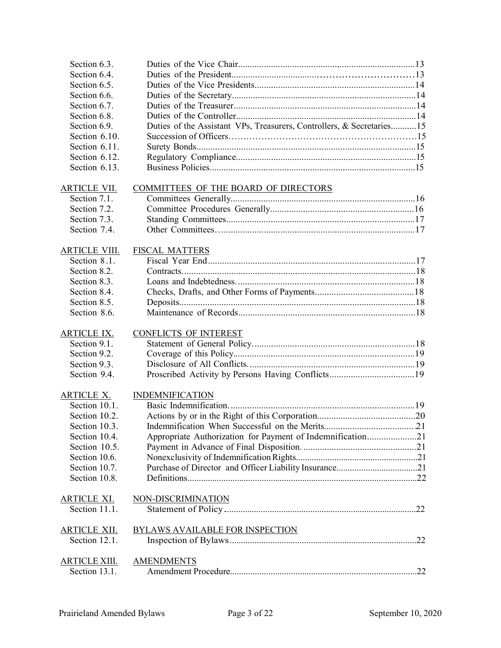| Section 6.3.                         |                                                                       |  |
|--------------------------------------|-----------------------------------------------------------------------|--|
| Section 6.4.                         |                                                                       |  |
| Section 6.5.                         |                                                                       |  |
| Section 6.6.                         |                                                                       |  |
| Section 6.7.                         |                                                                       |  |
| Section 6.8.                         |                                                                       |  |
| Section 6.9.                         | Duties of the Assistant VPs, Treasurers, Controllers, & Secretaries15 |  |
| Section 6.10.                        |                                                                       |  |
| Section 6.11.                        |                                                                       |  |
| Section 6.12.                        |                                                                       |  |
| Section 6.13.                        |                                                                       |  |
|                                      |                                                                       |  |
| <b>ARTICLE VII.</b>                  | COMMITTEES OF THE BOARD OF DIRECTORS                                  |  |
| Section 7.1.                         |                                                                       |  |
| Section 7.2.                         |                                                                       |  |
| Section 7.3.                         |                                                                       |  |
| Section 7.4.                         |                                                                       |  |
|                                      |                                                                       |  |
| <b>ARTICLE VIII.</b>                 | <b>FISCAL MATTERS</b>                                                 |  |
| Section 8.1.                         |                                                                       |  |
| Section 8.2.                         |                                                                       |  |
| Section 8.3.                         |                                                                       |  |
| Section 8.4.                         |                                                                       |  |
| Section 8.5.                         |                                                                       |  |
| Section 8.6.                         |                                                                       |  |
|                                      |                                                                       |  |
| <b>ARTICLE IX.</b>                   | <b>CONFLICTS OF INTEREST</b>                                          |  |
| Section 9.1.                         |                                                                       |  |
| Section 9.2.                         |                                                                       |  |
| Section 9.3.                         |                                                                       |  |
| Section 9.4.                         |                                                                       |  |
|                                      |                                                                       |  |
| <b>ARTICLE X.</b>                    | <b>INDEMNIFICATION</b>                                                |  |
| Section 10.1.                        |                                                                       |  |
| Section 10.2.                        |                                                                       |  |
| Section 10.3.                        |                                                                       |  |
| Section 10.4.                        |                                                                       |  |
| Section 10.5.                        | Appropriate Authorization for Payment of Indemnification21            |  |
|                                      |                                                                       |  |
| Section 10.6.                        |                                                                       |  |
| Section 10.7.                        |                                                                       |  |
| Section 10.8.                        |                                                                       |  |
|                                      |                                                                       |  |
| <b>ARTICLE XI.</b>                   | NON-DISCRIMINATION                                                    |  |
| Section 11.1.                        |                                                                       |  |
|                                      |                                                                       |  |
| <u>ARTICLE XII.</u><br>Section 12.1. | BYLAWS AVAILABLE FOR INSPECTION                                       |  |
|                                      |                                                                       |  |
|                                      |                                                                       |  |
| <u>ARTICLE XIII.</u>                 | <b>AMENDMENTS</b>                                                     |  |
| Section 13.1.                        |                                                                       |  |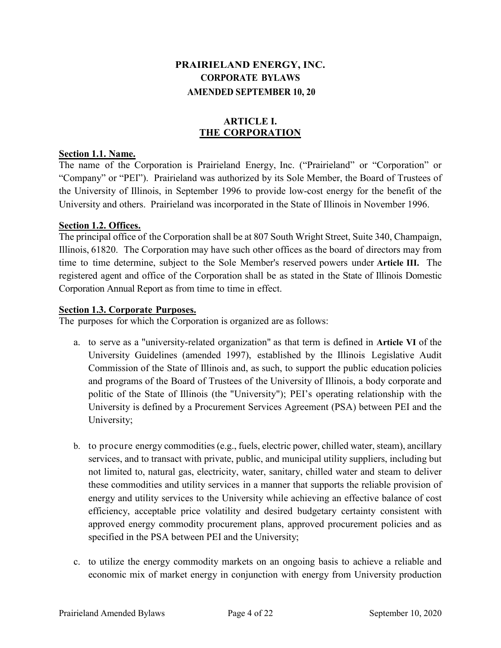# **PRAIRIELAND ENERGY, INC. CORPORATE BYLAWS AMENDED SEPTEMBER 10, 20**

# **ARTICLE I. THE CORPORATION**

#### **Section 1.1. Name.**

The name of the Corporation is Prairieland Energy, Inc. ("Prairieland" or "Corporation" or "Company" or "PEI"). Prairieland was authorized by its Sole Member, the Board of Trustees of the University of Illinois, in September 1996 to provide low-cost energy for the benefit of the University and others. Prairieland was incorporated in the State of Illinois in November 1996.

#### **Section 1.2. Offices.**

The principal office of the Corporation shall be at 807 South Wright Street, Suite 340, Champaign, Illinois, 61820. The Corporation may have such other offices as the board of directors may from time to time determine, subject to the Sole Member's reserved powers under **Article III.** The registered agent and office of the Corporation shall be as stated in the State of Illinois Domestic Corporation Annual Report as from time to time in effect.

#### **Section 1.3. Corporate Purposes.**

The purposes for which the Corporation is organized are as follows:

- a. to serve as a "university-related organization" as that term is defined in **Article VI** of the University Guidelines (amended 1997), established by the Illinois Legislative Audit Commission of the State of Illinois and, as such, to support the public education policies and programs of the Board of Trustees of the University of Illinois, a body corporate and politic of the State of Illinois (the "University"); PEI's operating relationship with the University is defined by a Procurement Services Agreement (PSA) between PEI and the University;
- b. to procure energy commodities (e.g., fuels, electric power, chilled water, steam), ancillary services, and to transact with private, public, and municipal utility suppliers, including but not limited to, natural gas, electricity, water, sanitary, chilled water and steam to deliver these commodities and utility services in a manner that supports the reliable provision of energy and utility services to the University while achieving an effective balance of cost efficiency, acceptable price volatility and desired budgetary certainty consistent with approved energy commodity procurement plans, approved procurement policies and as specified in the PSA between PEI and the University;
- c. to utilize the energy commodity markets on an ongoing basis to achieve a reliable and economic mix of market energy in conjunction with energy from University production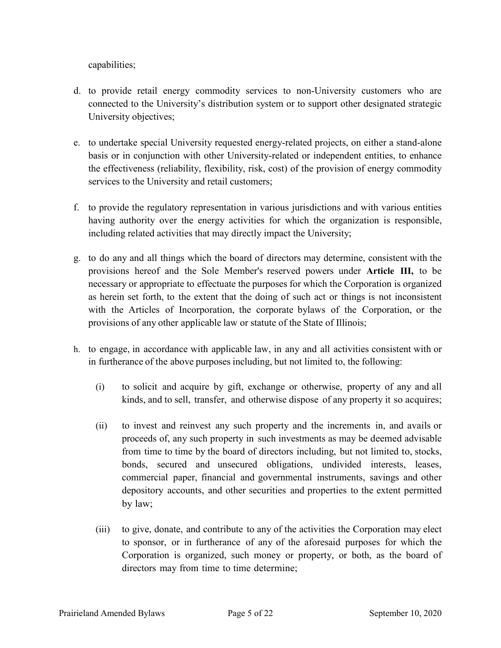capabilities;

- d. to provide retail energy commodity services to non-University customers who are connected to the University's distribution system or to support other designated strategic University objectives;
- e. to undertake special University requested energy-related projects, on either a stand-alone basis or in conjunction with other University-related or independent entities, to enhance the effectiveness (reliability, flexibility, risk, cost) of the provision of energy commodity services to the University and retail customers;
- f. to provide the regulatory representation in various jurisdictions and with various entities having authority over the energy activities for which the organization is responsible, including related activities that may directly impact the University;
- g. to do any and all things which the board of directors may determine, consistent with the provisions hereof and the Sole Member's reserved powers under **Article III,** to be necessary or appropriate to effectuate the purposes for which the Corporation is organized as herein set forth, to the extent that the doing of such act or things is not inconsistent with the Articles of Incorporation, the corporate bylaws of the Corporation, or the provisions of any other applicable law or statute of the State of Illinois;
- h. to engage, in accordance with applicable law, in any and all activities consistent with or in furtherance of the above purposes including, but not limited to, the following:
	- (i) to solicit and acquire by gift, exchange or otherwise, property of any and all kinds, and to sell, transfer, and otherwise dispose of any property it so acquires;
	- (ii) to invest and reinvest any such property and the increments in, and avails or proceeds of, any such property in such investments as may be deemed advisable from time to time by the board of directors including, but not limited to, stocks, bonds, secured and unsecured obligations, undivided interests, leases, commercial paper, financial and governmental instruments, savings and other depository accounts, and other securities and properties to the extent permitted by law;
	- (iii) to give, donate, and contribute to any of the activities the Corporation may elect to sponsor, or in furtherance of any of the aforesaid purposes for which the Corporation is organized, such money or property, or both, as the board of directors may from time to time determine;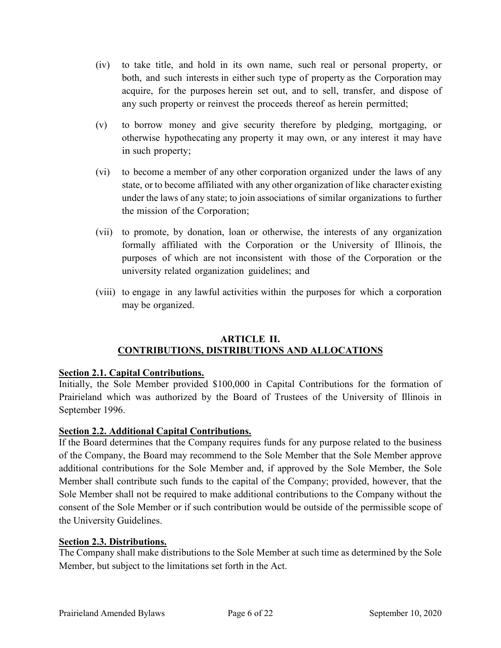- (iv) to take title, and hold in its own name, such real or personal property, or both, and such interests in either such type of property as the Corporation may acquire, for the purposes herein set out, and to sell, transfer, and dispose of any such property or reinvest the proceeds thereof as herein permitted;
- (v) to borrow money and give security therefore by pledging, mortgaging, or otherwise hypothecating any property it may own, or any interest it may have in such property;
- (vi) to become a member of any other corporation organized under the laws of any state, or to become affiliated with any other organization of like character existing under the laws of any state; to join associations of similar organizations to further the mission of the Corporation;
- (vii) to promote, by donation, loan or otherwise, the interests of any organization formally affiliated with the Corporation or the University of Illinois, the purposes of which are not inconsistent with those of the Corporation or the university related organization guidelines; and
- (viii) to engage in any lawful activities within the purposes for which a corporation may be organized.

#### **ARTICLE II. CONTRIBUTIONS, DISTRIBUTIONS AND ALLOCATIONS**

# **Section 2.1. Capital Contributions.**

Initially, the Sole Member provided \$100,000 in Capital Contributions for the formation of Prairieland which was authorized by the Board of Trustees of the University of Illinois in September 1996.

# **Section 2.2. Additional Capital Contributions.**

If the Board determines that the Company requires funds for any purpose related to the business of the Company, the Board may recommend to the Sole Member that the Sole Member approve additional contributions for the Sole Member and, if approved by the Sole Member, the Sole Member shall contribute such funds to the capital of the Company; provided, however, that the Sole Member shall not be required to make additional contributions to the Company without the consent of the Sole Member or if such contribution would be outside of the permissible scope of the University Guidelines.

# **Section 2.3. Distributions.**

The Company shall make distributions to the Sole Member at such time as determined by the Sole Member, but subject to the limitations set forth in the Act.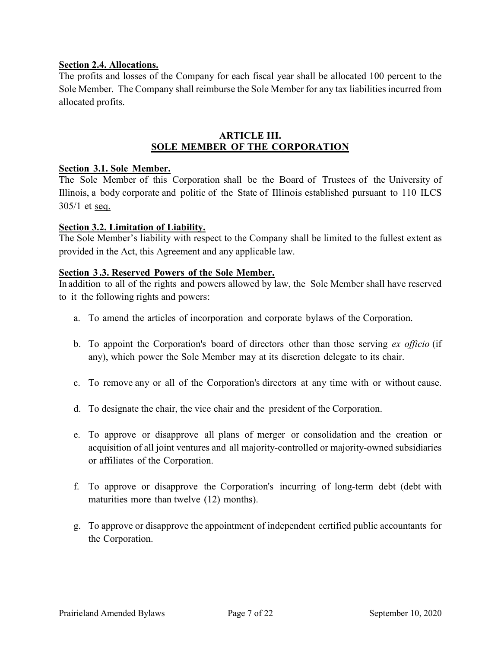#### **Section 2.4. Allocations.**

The profits and losses of the Company for each fiscal year shall be allocated 100 percent to the Sole Member. The Company shall reimburse the Sole Member for any tax liabilities incurred from allocated profits.

#### **ARTICLE III. SOLE MEMBER OF THE CORPORATION**

#### **Section 3.1. Sole Member.**

The Sole Member of this Corporation shall be the Board of Trustees of the University of Illinois, a body corporate and politic of the State of Illinois established pursuant to 110 ILCS 305/1 et seq.

#### **Section 3.2. Limitation of Liability.**

The Sole Member's liability with respect to the Company shall be limited to the fullest extent as provided in the Act, this Agreement and any applicable law.

#### **Section 3 .3. Reserved Powers of the Sole Member.**

In addition to all of the rights and powers allowed by law, the Sole Member shall have reserved to it the following rights and powers:

- a. To amend the articles of incorporation and corporate bylaws of the Corporation.
- b. To appoint the Corporation's board of directors other than those serving *ex officio* (if any), which power the Sole Member may at its discretion delegate to its chair.
- c. To remove any or all of the Corporation's directors at any time with or without cause.
- d. To designate the chair, the vice chair and the president of the Corporation.
- e. To approve or disapprove all plans of merger or consolidation and the creation or acquisition of all joint ventures and all majority-controlled or majority-owned subsidiaries or affiliates of the Corporation.
- f. To approve or disapprove the Corporation's incurring of long-term debt (debt with maturities more than twelve (12) months).
- g. To approve or disapprove the appointment of independent certified public accountants for the Corporation.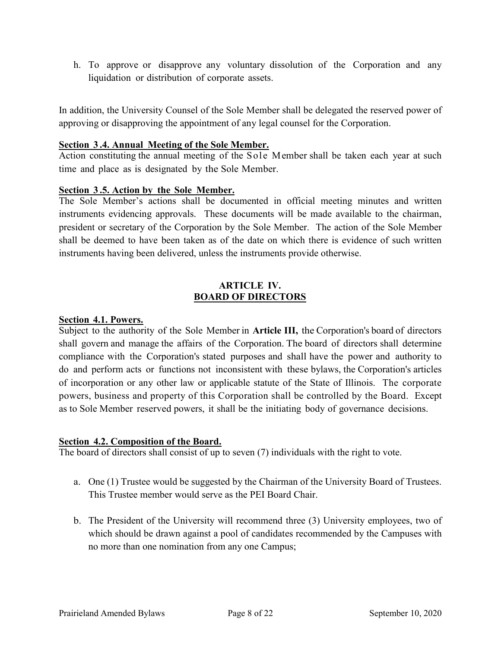h. To approve or disapprove any voluntary dissolution of the Corporation and any liquidation or distribution of corporate assets.

In addition, the University Counsel of the Sole Member shall be delegated the reserved power of approving or disapproving the appointment of any legal counsel for the Corporation.

#### **Section 3 .4. Annual Meeting of the Sole Member.**

Action constituting the annual meeting of the Sole Member shall be taken each year at such time and place as is designated by the Sole Member.

#### **Section 3 .5. Action by the Sole Member.**

The Sole Member's actions shall be documented in official meeting minutes and written instruments evidencing approvals. These documents will be made available to the chairman, president or secretary of the Corporation by the Sole Member. The action of the Sole Member shall be deemed to have been taken as of the date on which there is evidence of such written instruments having been delivered, unless the instruments provide otherwise.

#### **ARTICLE IV. BOARD OF DIRECTORS**

#### **Section 4.1. Powers.**

Subject to the authority of the Sole Member in **Article III,** the Corporation's board of directors shall govern and manage the affairs of the Corporation. The board of directors shall determine compliance with the Corporation's stated purposes and shall have the power and authority to do and perform acts or functions not inconsistent with these bylaws, the Corporation's articles of incorporation or any other law or applicable statute of the State of Illinois. The corporate powers, business and property of this Corporation shall be controlled by the Board. Except as to Sole Member reserved powers, it shall be the initiating body of governance decisions.

#### **Section 4.2. Composition of the Board.**

The board of directors shall consist of up to seven (7) individuals with the right to vote.

- a. One (1) Trustee would be suggested by the Chairman of the University Board of Trustees. This Trustee member would serve as the PEI Board Chair.
- b. The President of the University will recommend three (3) University employees, two of which should be drawn against a pool of candidates recommended by the Campuses with no more than one nomination from any one Campus;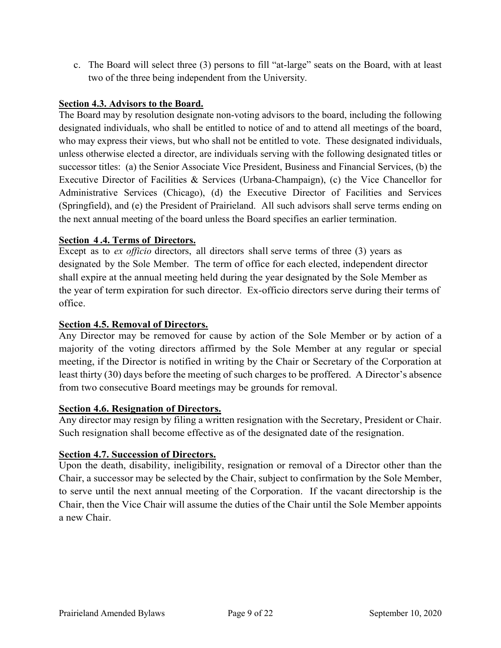c. The Board will select three (3) persons to fill "at-large" seats on the Board, with at least two of the three being independent from the University.

# **Section 4.3. Advisors to the Board.**

The Board may by resolution designate non-voting advisors to the board, including the following designated individuals, who shall be entitled to notice of and to attend all meetings of the board, who may express their views, but who shall not be entitled to vote. These designated individuals, unless otherwise elected a director, are individuals serving with the following designated titles or successor titles: (a) the Senior Associate Vice President, Business and Financial Services, (b) the Executive Director of Facilities & Services (Urbana-Champaign), (c) the Vice Chancellor for Administrative Services (Chicago), (d) the Executive Director of Facilities and Services (Springfield), and (e) the President of Prairieland. All such advisors shall serve terms ending on the next annual meeting of the board unless the Board specifies an earlier termination.

#### **Section 4 .4. Terms of Directors.**

Except as to *ex officio* directors, all directors shall serve terms of three (3) years as designated by the Sole Member. The term of office for each elected, independent director shall expire at the annual meeting held during the year designated by the Sole Member as the year of term expiration for such director. Ex-officio directors serve during their terms of office.

## **Section 4.5. Removal of Directors.**

Any Director may be removed for cause by action of the Sole Member or by action of a majority of the voting directors affirmed by the Sole Member at any regular or special meeting, if the Director is notified in writing by the Chair or Secretary of the Corporation at least thirty (30) days before the meeting of such charges to be proffered. A Director's absence from two consecutive Board meetings may be grounds for removal.

#### **Section 4.6. Resignation of Directors.**

Any director may resign by filing a written resignation with the Secretary, President or Chair. Such resignation shall become effective as of the designated date of the resignation.

#### **Section 4.7. Succession of Directors.**

Upon the death, disability, ineligibility, resignation or removal of a Director other than the Chair, a successor may be selected by the Chair, subject to confirmation by the Sole Member, to serve until the next annual meeting of the Corporation. If the vacant directorship is the Chair, then the Vice Chair will assume the duties of the Chair until the Sole Member appoints a new Chair.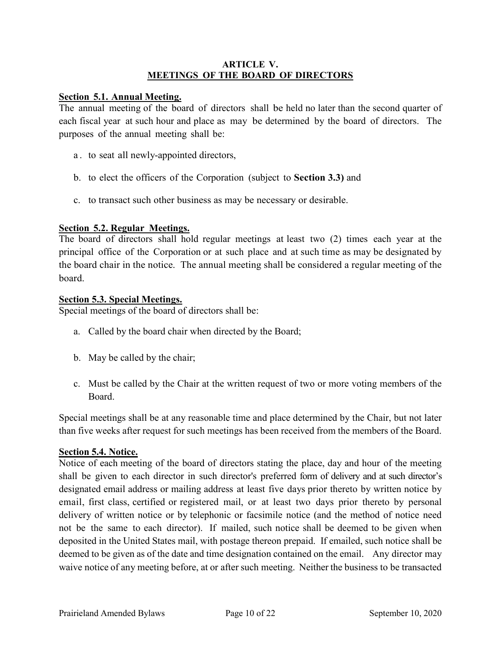#### **ARTICLE V. MEETINGS OF THE BOARD OF DIRECTORS**

#### **Section 5.1. Annual Meeting.**

The annual meeting of the board of directors shall be held no later than the second quarter of each fiscal year at such hour and place as may be determined by the board of directors. The purposes of the annual meeting shall be:

- a . to seat all newly-appointed directors,
- b. to elect the officers of the Corporation (subject to **Section 3.3)** and
- c. to transact such other business as may be necessary or desirable.

#### **Section 5.2. Regular Meetings.**

The board of directors shall hold regular meetings at least two (2) times each year at the principal office of the Corporation or at such place and at such time as may be designated by the board chair in the notice. The annual meeting shall be considered a regular meeting of the board.

#### **Section 5.3. Special Meetings.**

Special meetings of the board of directors shall be:

- a. Called by the board chair when directed by the Board;
- b. May be called by the chair;
- c. Must be called by the Chair at the written request of two or more voting members of the Board.

Special meetings shall be at any reasonable time and place determined by the Chair, but not later than five weeks after request for such meetings has been received from the members of the Board.

#### **Section 5.4. Notice.**

Notice of each meeting of the board of directors stating the place, day and hour of the meeting shall be given to each director in such director's preferred form of delivery and at such director's designated email address or mailing address at least five days prior thereto by written notice by email, first class, certified or registered mail, or at least two days prior thereto by personal delivery of written notice or by telephonic or facsimile notice (and the method of notice need not be the same to each director). If mailed, such notice shall be deemed to be given when deposited in the United States mail, with postage thereon prepaid. If emailed, such notice shall be deemed to be given as of the date and time designation contained on the email. Any director may waive notice of any meeting before, at or after such meeting. Neither the business to be transacted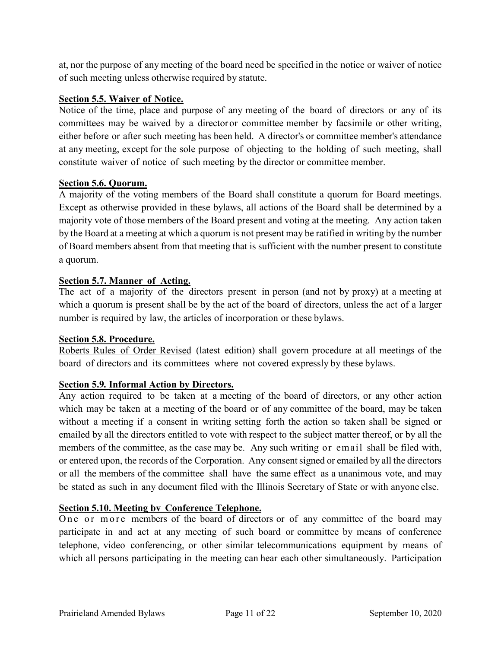at, nor the purpose of any meeting of the board need be specified in the notice or waiver of notice of such meeting unless otherwise required by statute.

#### **Section 5.5. Waiver of Notice.**

Notice of the time, place and purpose of any meeting of the board of directors or any of its committees may be waived by a directoror committee member by facsimile or other writing, either before or after such meeting has been held. A director's or committee member's attendance at any meeting, except for the sole purpose of objecting to the holding of such meeting, shall constitute waiver of notice of such meeting by the director or committee member.

#### **Section 5.6. Quorum.**

A majority of the voting members of the Board shall constitute a quorum for Board meetings. Except as otherwise provided in these bylaws, all actions of the Board shall be determined by a majority vote of those members of the Board present and voting at the meeting. Any action taken by the Board at a meeting at which a quorum is not present may be ratified in writing by the number of Board members absent from that meeting that is sufficient with the number present to constitute a quorum.

#### **Section 5.7. Manner of Acting.**

The act of a majority of the directors present in person (and not by proxy) at a meeting at which a quorum is present shall be by the act of the board of directors, unless the act of a larger number is required by law, the articles of incorporation or these bylaws.

#### **Section 5.8. Procedure.**

Roberts Rules of Order Revised (latest edition) shall govern procedure at all meetings of the board of directors and its committees where not covered expressly by these bylaws.

#### **Section 5.9. Informal Action by Directors.**

Any action required to be taken at a meeting of the board of directors, or any other action which may be taken at a meeting of the board or of any committee of the board, may be taken without a meeting if a consent in writing setting forth the action so taken shall be signed or emailed by all the directors entitled to vote with respect to the subject matter thereof, or by all the members of the committee, as the case may be. Any such writing or email shall be filed with, or entered upon, the records of the Corporation. Any consentsigned or emailed by all the directors or all the members of the committee shall have the same effect as a unanimous vote, and may be stated as such in any document filed with the Illinois Secretary of State or with anyone else.

#### **Section 5.10. Meeting bv Conference Telephone.**

One or more members of the board of directors or of any committee of the board may participate in and act at any meeting of such board or committee by means of conference telephone, video conferencing, or other similar telecommunications equipment by means of which all persons participating in the meeting can hear each other simultaneously. Participation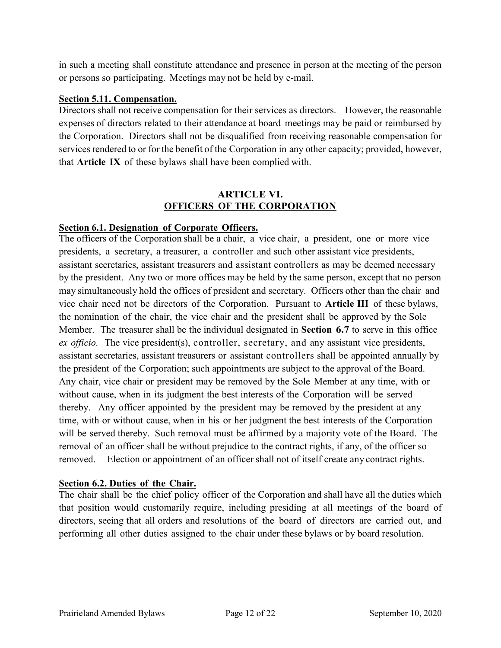in such a meeting shall constitute attendance and presence in person at the meeting of the person or persons so participating. Meetings may not be held by e-mail.

#### **Section 5.11. Compensation.**

Directors shall not receive compensation for their services as directors. However, the reasonable expenses of directors related to their attendance at board meetings may be paid or reimbursed by the Corporation. Directors shall not be disqualified from receiving reasonable compensation for services rendered to or for the benefit of the Corporation in any other capacity; provided, however, that **Article IX** of these bylaws shall have been complied with.

#### **ARTICLE VI. OFFICERS OF THE CORPORATION**

#### **Section 6.1. Designation of Corporate Officers.**

The officers of the Corporation shall be a chair, a vice chair, a president, one or more vice presidents, a secretary, a treasurer, a controller and such other assistant vice presidents, assistant secretaries, assistant treasurers and assistant controllers as may be deemed necessary by the president. Any two or more offices may be held by the same person, except that no person may simultaneously hold the offices of president and secretary. Officers other than the chair and vice chair need not be directors of the Corporation. Pursuant to **Article III** of these bylaws, the nomination of the chair, the vice chair and the president shall be approved by the Sole Member. The treasurer shall be the individual designated in **Section 6.7** to serve in this office *ex officio.* The vice president(s), controller, secretary, and any assistant vice presidents, assistant secretaries, assistant treasurers or assistant controllers shall be appointed annually by the president of the Corporation; such appointments are subject to the approval of the Board. Any chair, vice chair or president may be removed by the Sole Member at any time, with or without cause, when in its judgment the best interests of the Corporation will be served thereby. Any officer appointed by the president may be removed by the president at any time, with or without cause, when in his or her judgment the best interests of the Corporation will be served thereby. Such removal must be affirmed by a majority vote of the Board. The removal of an officer shall be without prejudice to the contract rights, if any, of the officer so removed. Election or appointment of an officer shall not of itself create any contract rights.

#### **Section 6.2. Duties of the Chair.**

The chair shall be the chief policy officer of the Corporation and shall have all the duties which that position would customarily require, including presiding at all meetings of the board of directors, seeing that all orders and resolutions of the board of directors are carried out, and performing all other duties assigned to the chair under these bylaws or by board resolution.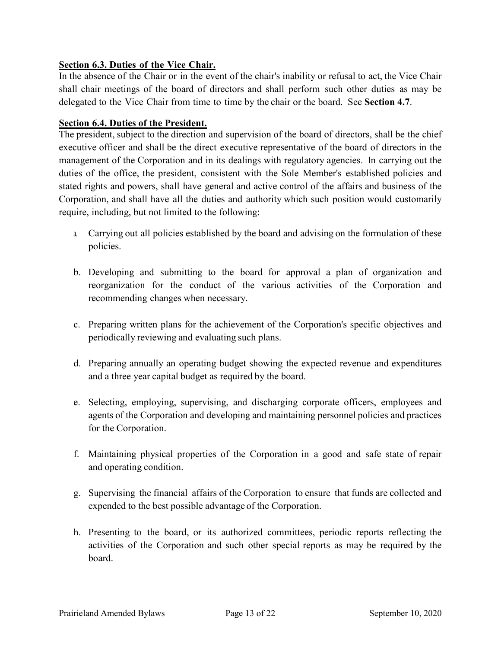## **Section 6.3. Duties of the Vice Chair.**

In the absence of the Chair or in the event of the chair's inability or refusal to act, the Vice Chair shall chair meetings of the board of directors and shall perform such other duties as may be delegated to the Vice Chair from time to time by the chair or the board. See **Section 4.7**.

#### **Section 6.4. Duties of the President.**

The president, subject to the direction and supervision of the board of directors, shall be the chief executive officer and shall be the direct executive representative of the board of directors in the management of the Corporation and in its dealings with regulatory agencies. In carrying out the duties of the office, the president, consistent with the Sole Member's established policies and stated rights and powers, shall have general and active control of the affairs and business of the Corporation, and shall have all the duties and authority which such position would customarily require, including, but not limited to the following:

- a. Carrying out all policies established by the board and advising on the formulation of these policies.
- b. Developing and submitting to the board for approval a plan of organization and reorganization for the conduct of the various activities of the Corporation and recommending changes when necessary.
- c. Preparing written plans for the achievement of the Corporation's specific objectives and periodically reviewing and evaluating such plans.
- d. Preparing annually an operating budget showing the expected revenue and expenditures and a three year capital budget as required by the board.
- e. Selecting, employing, supervising, and discharging corporate officers, employees and agents of the Corporation and developing and maintaining personnel policies and practices for the Corporation.
- f. Maintaining physical properties of the Corporation in a good and safe state of repair and operating condition.
- g. Supervising the financial affairs of the Corporation to ensure that funds are collected and expended to the best possible advantage of the Corporation.
- h. Presenting to the board, or its authorized committees, periodic reports reflecting the activities of the Corporation and such other special reports as may be required by the board.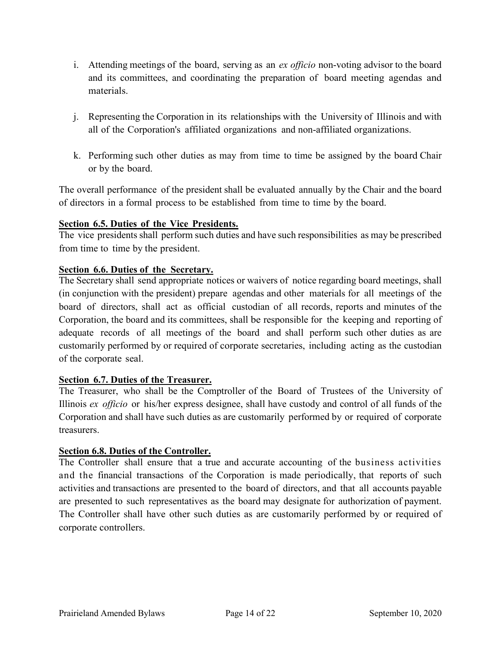- i. Attending meetings of the board, serving as an *ex officio* non-voting advisor to the board and its committees, and coordinating the preparation of board meeting agendas and materials.
- j. Representing the Corporation in its relationships with the University of Illinois and with all of the Corporation's affiliated organizations and non-affiliated organizations.
- k. Performing such other duties as may from time to time be assigned by the board Chair or by the board.

The overall performance of the president shall be evaluated annually by the Chair and the board of directors in a formal process to be established from time to time by the board.

#### **Section 6.5. Duties of the Vice Presidents.**

The vice presidents shall perform such duties and have such responsibilities as may be prescribed from time to time by the president.

#### **Section 6.6. Duties of the Secretary.**

The Secretary shall send appropriate notices or waivers of notice regarding board meetings, shall (in conjunction with the president) prepare agendas and other materials for all meetings of the board of directors, shall act as official custodian of all records, reports and minutes of the Corporation, the board and its committees, shall be responsible for the keeping and reporting of adequate records of all meetings of the board and shall perform such other duties as are customarily performed by or required of corporate secretaries, including acting as the custodian of the corporate seal.

#### **Section 6.7. Duties of the Treasurer.**

The Treasurer, who shall be the Comptroller of the Board of Trustees of the University of Illinois *ex officio* or his/her express designee, shall have custody and control of all funds of the Corporation and shall have such duties as are customarily performed by or required of corporate treasurers.

#### **Section 6.8. Duties of the Controller.**

The Controller shall ensure that a true and accurate accounting of the business activities and the financial transactions of the Corporation is made periodically, that reports of such activities and transactions are presented to the board of directors, and that all accounts payable are presented to such representatives as the board may designate for authorization of payment. The Controller shall have other such duties as are customarily performed by or required of corporate controllers.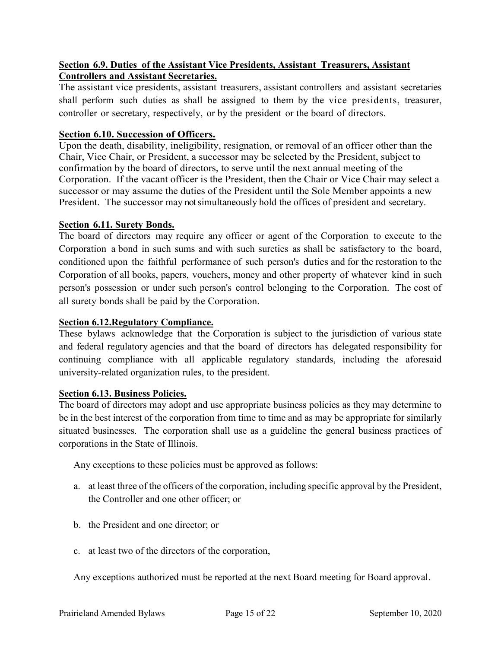## **Section 6.9. Duties of the Assistant Vice Presidents, Assistant Treasurers, Assistant Controllers and Assistant Secretaries.**

The assistant vice presidents, assistant treasurers, assistant controllers and assistant secretaries shall perform such duties as shall be assigned to them by the vice presidents, treasurer, controller or secretary, respectively, or by the president or the board of directors.

#### **Section 6.10. Succession of Officers.**

Upon the death, disability, ineligibility, resignation, or removal of an officer other than the Chair, Vice Chair, or President, a successor may be selected by the President, subject to confirmation by the board of directors, to serve until the next annual meeting of the Corporation. If the vacant officer is the President, then the Chair or Vice Chair may select a successor or may assume the duties of the President until the Sole Member appoints a new President. The successor may not simultaneously hold the offices of president and secretary.

#### **Section 6.11. Surety Bonds.**

The board of directors may require any officer or agent of the Corporation to execute to the Corporation a bond in such sums and with such sureties as shall be satisfactory to the board, conditioned upon the faithful performance of such person's duties and for the restoration to the Corporation of all books, papers, vouchers, money and other property of whatever kind in such person's possession or under such person's control belonging to the Corporation. The cost of all surety bonds shall be paid by the Corporation.

#### **Section 6.12.Regulatory Compliance.**

These bylaws acknowledge that the Corporation is subject to the jurisdiction of various state and federal regulatory agencies and that the board of directors has delegated responsibility for continuing compliance with all applicable regulatory standards, including the aforesaid university-related organization rules, to the president.

#### **Section 6.13. Business Policies.**

The board of directors may adopt and use appropriate business policies as they may determine to be in the best interest of the corporation from time to time and as may be appropriate for similarly situated businesses. The corporation shall use as a guideline the general business practices of corporations in the State of Illinois.

Any exceptions to these policies must be approved as follows:

- a. at least three of the officers of the corporation, including specific approval by the President, the Controller and one other officer; or
- b. the President and one director; or
- c. at least two of the directors of the corporation,

Any exceptions authorized must be reported at the next Board meeting for Board approval.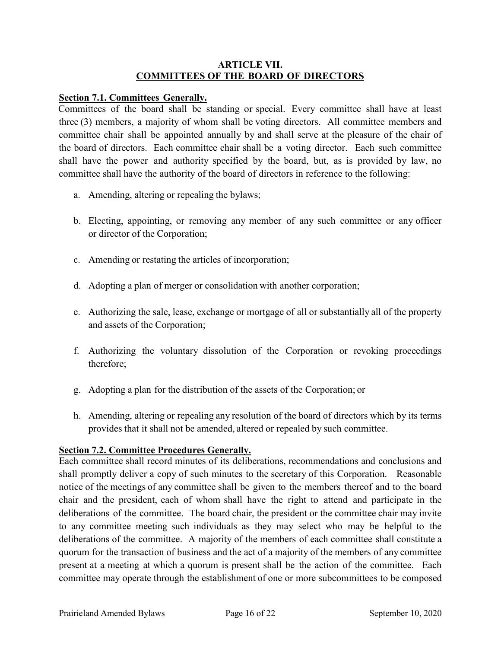#### **ARTICLE VII. COMMITTEES OF THE BOARD OF DIRECTORS**

#### **Section 7.1. Committees Generally.**

Committees of the board shall be standing or special. Every committee shall have at least three (3) members, a majority of whom shall be voting directors. All committee members and committee chair shall be appointed annually by and shall serve at the pleasure of the chair of the board of directors. Each committee chair shall be a voting director. Each such committee shall have the power and authority specified by the board, but, as is provided by law, no committee shall have the authority of the board of directors in reference to the following:

- a. Amending, altering or repealing the bylaws;
- b. Electing, appointing, or removing any member of any such committee or any officer or director of the Corporation;
- c. Amending or restating the articles of incorporation;
- d. Adopting a plan of merger or consolidation with another corporation;
- e. Authorizing the sale, lease, exchange or mortgage of all or substantially all of the property and assets of the Corporation;
- f. Authorizing the voluntary dissolution of the Corporation or revoking proceedings therefore;
- g. Adopting a plan for the distribution of the assets of the Corporation; or
- h. Amending, altering or repealing any resolution of the board of directors which by its terms provides that it shall not be amended, altered or repealed by such committee.

# **Section 7.2. Committee Procedures Generally.**

Each committee shall record minutes of its deliberations, recommendations and conclusions and shall promptly deliver a copy of such minutes to the secretary of this Corporation. Reasonable notice of the meetings of any committee shall be given to the members thereof and to the board chair and the president, each of whom shall have the right to attend and participate in the deliberations of the committee. The board chair, the president or the committee chair may invite to any committee meeting such individuals as they may select who may be helpful to the deliberations of the committee. A majority of the members of each committee shall constitute a quorum for the transaction of business and the act of a majority of the members of any committee present at a meeting at which a quorum is present shall be the action of the committee. Each committee may operate through the establishment of one or more subcommittees to be composed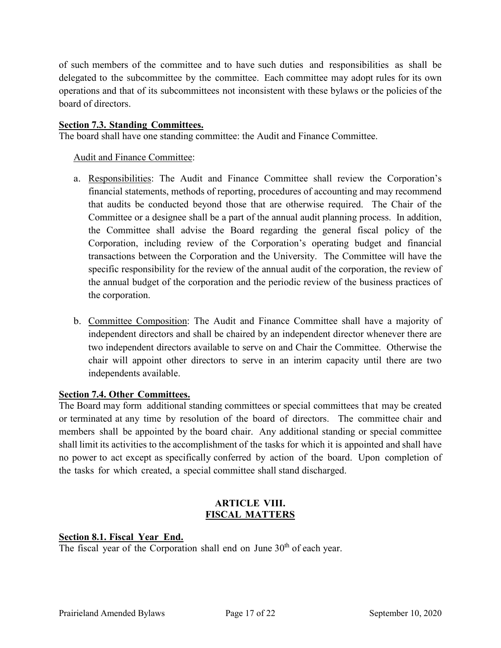of such members of the committee and to have such duties and responsibilities as shall be delegated to the subcommittee by the committee. Each committee may adopt rules for its own operations and that of its subcommittees not inconsistent with these bylaws or the policies of the board of directors.

#### **Section 7.3. Standing Committees.**

The board shall have one standing committee: the Audit and Finance Committee.

Audit and Finance Committee:

- a. Responsibilities: The Audit and Finance Committee shall review the Corporation's financial statements, methods of reporting, procedures of accounting and may recommend that audits be conducted beyond those that are otherwise required. The Chair of the Committee or a designee shall be a part of the annual audit planning process. In addition, the Committee shall advise the Board regarding the general fiscal policy of the Corporation, including review of the Corporation's operating budget and financial transactions between the Corporation and the University. The Committee will have the specific responsibility for the review of the annual audit of the corporation, the review of the annual budget of the corporation and the periodic review of the business practices of the corporation.
- b. Committee Composition: The Audit and Finance Committee shall have a majority of independent directors and shall be chaired by an independent director whenever there are two independent directors available to serve on and Chair the Committee. Otherwise the chair will appoint other directors to serve in an interim capacity until there are two independents available.

# **Section 7.4. Other Committees.**

The Board may form additional standing committees or special committees that may be created or terminated at any time by resolution of the board of directors. The committee chair and members shall be appointed by the board chair. Any additional standing or special committee shall limit its activities to the accomplishment of the tasks for which it is appointed and shall have no power to act except as specifically conferred by action of the board. Upon completion of the tasks for which created, a special committee shall stand discharged.

#### **ARTICLE VIII. FISCAL MATTERS**

# **Section 8.1. Fiscal Year End.**

The fiscal year of the Corporation shall end on June 30<sup>th</sup> of each year.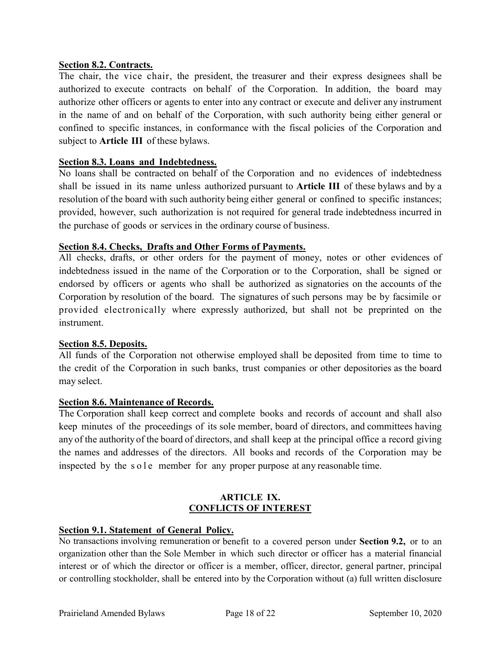#### **Section 8.2. Contracts.**

The chair, the vice chair, the president, the treasurer and their express designees shall be authorized to execute contracts on behalf of the Corporation. In addition, the board may authorize other officers or agents to enter into any contract or execute and deliver any instrument in the name of and on behalf of the Corporation, with such authority being either general or confined to specific instances, in conformance with the fiscal policies of the Corporation and subject to **Article III** of these bylaws.

#### **Section 8.3. Loans and Indebtedness.**

No loans shall be contracted on behalf of the Corporation and no evidences of indebtedness shall be issued in its name unless authorized pursuant to **Article III** of these bylaws and by a resolution of the board with such authority being either general or confined to specific instances; provided, however, such authorization is not required for general trade indebtedness incurred in the purchase of goods or services in the ordinary course of business.

#### **Section 8.4. Checks, Drafts and Other Forms of Payments.**

All checks, drafts, or other orders for the payment of money, notes or other evidences of indebtedness issued in the name of the Corporation or to the Corporation, shall be signed or endorsed by officers or agents who shall be authorized as signatories on the accounts of the Corporation by resolution of the board. The signatures of such persons may be by facsimile or provided electronically where expressly authorized, but shall not be preprinted on the instrument.

#### **Section 8.5. Deposits.**

All funds of the Corporation not otherwise employed shall be deposited from time to time to the credit of the Corporation in such banks, trust companies or other depositories as the board may select.

#### **Section 8.6. Maintenance of Records.**

The Corporation shall keep correct and complete books and records of account and shall also keep minutes of the proceedings of its sole member, board of directors, and committees having any of the authority of the board of directors, and shall keep at the principal office a record giving the names and addresses of the directors. All books and records of the Corporation may be inspected by the sole member for any proper purpose at any reasonable time.

#### **ARTICLE IX. CONFLICTS OF INTEREST**

#### **Section 9.1. Statement of General Policy.**

No transactions involving remuneration or benefit to a covered person under **Section 9.2,** or to an organization other than the Sole Member in which such director or officer has a material financial interest or of which the director or officer is a member, officer, director, general partner, principal or controlling stockholder, shall be entered into by the Corporation without (a) full written disclosure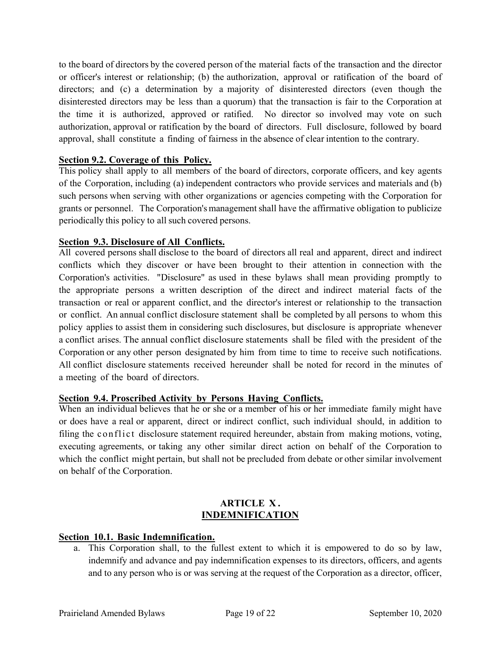to the board of directors by the covered person of the material facts of the transaction and the director or officer's interest or relationship; (b) the authorization, approval or ratification of the board of directors; and (c) a determination by a majority of disinterested directors (even though the disinterested directors may be less than a quorum) that the transaction is fair to the Corporation at the time it is authorized, approved or ratified. No director so involved may vote on such authorization, approval or ratification by the board of directors. Full disclosure, followed by board approval, shall constitute a finding of fairness in the absence of clear intention to the contrary.

## **Section 9.2. Coverage of this Policy.**

This policy shall apply to all members of the board of directors, corporate officers, and key agents of the Corporation, including (a) independent contractors who provide services and materials and (b) such persons when serving with other organizations or agencies competing with the Corporation for grants or personnel. The Corporation's management shall have the affirmative obligation to publicize periodically this policy to all such covered persons.

#### **Section 9.3. Disclosure of All Conflicts.**

All covered persons shall disclose to the board of directors all real and apparent, direct and indirect conflicts which they discover or have been brought to their attention in connection with the Corporation's activities. "Disclosure" as used in these bylaws shall mean providing promptly to the appropriate persons a written description of the direct and indirect material facts of the transaction or real or apparent conflict, and the director's interest or relationship to the transaction or conflict. An annual conflict disclosure statement shall be completed by all persons to whom this policy applies to assist them in considering such disclosures, but disclosure is appropriate whenever a conflict arises. The annual conflict disclosure statements shall be filed with the president of the Corporation or any other person designated by him from time to time to receive such notifications. All conflict disclosure statements received hereunder shall be noted for record in the minutes of a meeting of the board of directors.

#### **Section 9.4. Proscribed Activity by Persons Having Conflicts.**

When an individual believes that he or she or a member of his or her immediate family might have or does have a real or apparent, direct or indirect conflict, such individual should, in addition to filing the conflict disclosure statement required hereunder, abstain from making motions, voting, executing agreements, or taking any other similar direct action on behalf of the Corporation to which the conflict might pertain, but shall not be precluded from debate or other similar involvement on behalf of the Corporation.

#### **ARTICLE X . INDEMNIFICATION**

#### **Section 10.1. Basic Indemnification.**

a. This Corporation shall, to the fullest extent to which it is empowered to do so by law, indemnify and advance and pay indemnification expenses to its directors, officers, and agents and to any person who is or was serving at the request of the Corporation as a director, officer,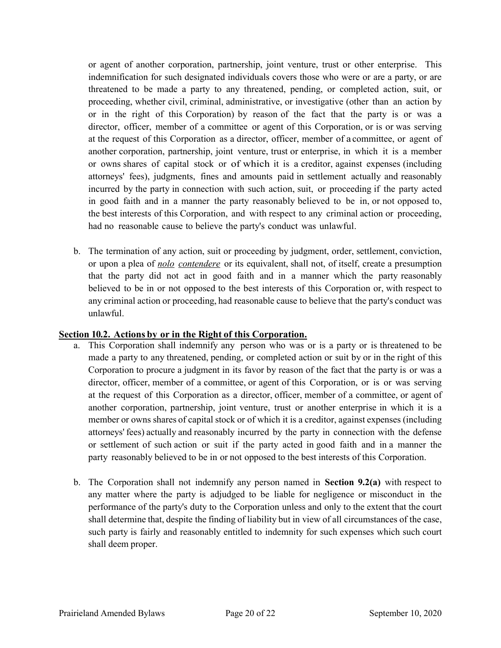or agent of another corporation, partnership, joint venture, trust or other enterprise. This indemnification for such designated individuals covers those who were or are a party, or are threatened to be made a party to any threatened, pending, or completed action, suit, or proceeding, whether civil, criminal, administrative, or investigative (other than an action by or in the right of this Corporation) by reason of the fact that the party is or was a director, officer, member of a committee or agent of this Corporation, or is or was serving at the request of this Corporation as a director, officer, member of a committee, or agent of another corporation, partnership, joint venture, trust or enterprise, in which it is a member or owns shares of capital stock or of which it is a creditor, against expenses (including attorneys' fees), judgments, fines and amounts paid in settlement actually and reasonably incurred by the party in connection with such action, suit, or proceeding if the party acted in good faith and in a manner the party reasonably believed to be in, or not opposed to, the best interests of this Corporation, and with respect to any criminal action or proceeding, had no reasonable cause to believe the party's conduct was unlawful.

b. The termination of any action, suit or proceeding by judgment, order, settlement, conviction, or upon a plea of *nolo contendere* or its equivalent, shall not, of itself, create a presumption that the party did not act in good faith and in a manner which the party reasonably believed to be in or not opposed to the best interests of this Corporation or, with respect to any criminal action or proceeding, had reasonable cause to believe that the party's conduct was unlawful.

#### **Section 10.2. Actions by or in the Right of this Corporation.**

- a. This Corporation shall indemnify any person who was or is a party or is threatened to be made a party to any threatened, pending, or completed action or suit by or in the right of this Corporation to procure a judgment in its favor by reason of the fact that the party is or was a director, officer, member of a committee, or agent of this Corporation, or is or was serving at the request of this Corporation as a director, officer, member of a committee, or agent of another corporation, partnership, joint venture, trust or another enterprise in which it is a member or owns shares of capital stock or of which it is a creditor, against expenses (including attorneys' fees) actually and reasonably incurred by the party in connection with the defense or settlement of such action or suit if the party acted in good faith and in a manner the party reasonably believed to be in or not opposed to the best interests of this Corporation.
- b. The Corporation shall not indemnify any person named in **Section 9.2(a)** with respect to any matter where the party is adjudged to be liable for negligence or misconduct in the performance of the party's duty to the Corporation unless and only to the extent that the court shall determine that, despite the finding of liability but in view of all circumstances of the case, such party is fairly and reasonably entitled to indemnity for such expenses which such court shall deem proper.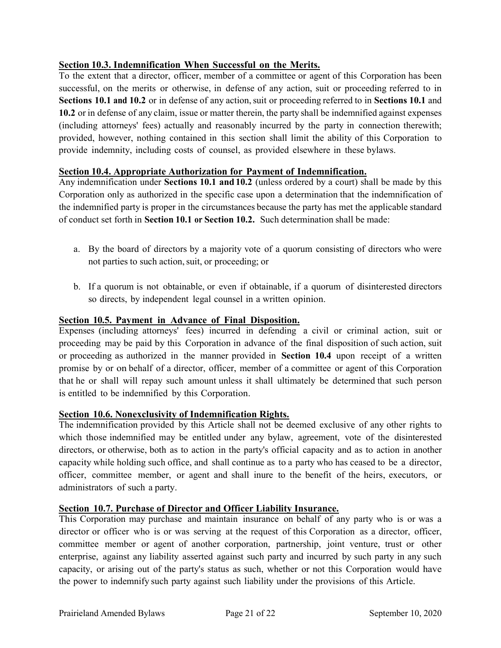## **Section 10.3. Indemnification When Successful on the Merits.**

To the extent that a director, officer, member of a committee or agent of this Corporation has been successful, on the merits or otherwise, in defense of any action, suit or proceeding referred to in **Sections 10.1 and 10.2** or in defense of any action, suit or proceeding referred to in **Sections** 10.1 and **10.2** or in defense of any claim, issue or matter therein, the party shall be indemnified against expenses (including attorneys' fees) actually and reasonably incurred by the party in connection therewith; provided, however, nothing contained in this section shall limit the ability of this Corporation to provide indemnity, including costs of counsel, as provided elsewhere in these bylaws.

#### **Section 10.4. Appropriate Authorization for Payment of Indemnification.**

Any indemnification under **Sections 10.1 and 10.2** (unless ordered by a court) shall be made by this Corporation only as authorized in the specific case upon a determination that the indemnification of the indemnified party is proper in the circumstances because the party has met the applicable standard of conduct set forth in **Section 10.1 or Section 10.2.** Such determination shall be made:

- a. By the board of directors by a majority vote of a quorum consisting of directors who were not parties to such action,suit, or proceeding; or
- b. If a quorum is not obtainable, or even if obtainable, if a quorum of disinterested directors so directs, by independent legal counsel in a written opinion.

#### **Section 10.5. Payment in Advance of Final Disposition.**

Expenses (including attorneys' fees) incurred in defending a civil or criminal action, suit or proceeding may be paid by this Corporation in advance of the final disposition of such action, suit or proceeding as authorized in the manner provided in **Section 10.4** upon receipt of a written promise by or on behalf of a director, officer, member of a committee or agent of this Corporation that he or shall will repay such amount unless it shall ultimately be determined that such person is entitled to be indemnified by this Corporation.

#### **Section 10.6. Nonexclusivity of Indemnification Rights.**

The indemnification provided by this Article shall not be deemed exclusive of any other rights to which those indemnified may be entitled under any bylaw, agreement, vote of the disinterested directors, or otherwise, both as to action in the party's official capacity and as to action in another capacity while holding such office, and shall continue as to a party who has ceased to be a director, officer, committee member, or agent and shall inure to the benefit of the heirs, executors, or administrators of such a party.

#### **Section 10.7. Purchase of Director and Officer Liability Insurance.**

This Corporation may purchase and maintain insurance on behalf of any party who is or was a director or officer who is or was serving at the request of this Corporation as a director, officer, committee member or agent of another corporation, partnership, joint venture, trust or other enterprise, against any liability asserted against such party and incurred by such party in any such capacity, or arising out of the party's status as such, whether or not this Corporation would have the power to indemnify such party against such liability under the provisions of this Article.